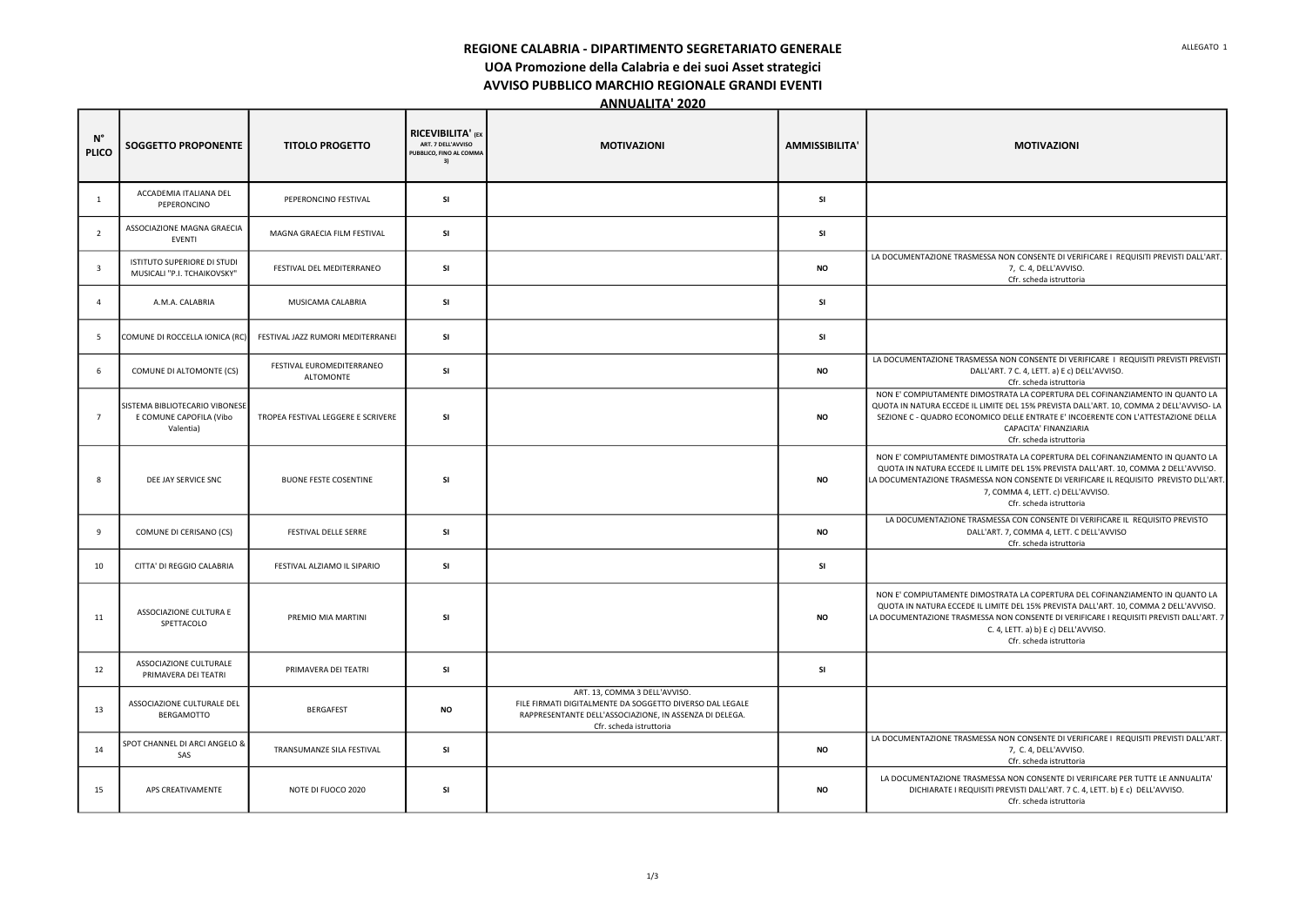REGIONE CALABRIA - DIPARTIMENTO SEGRETARIATO GENERALE

UOA Promozione della Calabria e dei suoi Asset strategici

AVVISO PUBBLICO MARCHIO REGIONALE GRANDI EVENTI

ANNUALITA' 2020

| $N^{\circ}$<br><b>PLICO</b> | <b>SOGGETTO PROPONENTE</b>                                             | <b>TITOLO PROGETTO</b>                        | <b>RICEVIBILITA' (EX.</b><br>ART. 7 DELL'AVVISO<br>PUBBLICO, FINO AL COMMA<br>3) | <b>MOTIVAZIONI</b>                                                                                                                                                              | <b>AMMISSIBILITA'</b> | <b>MOTIVAZIONI</b>                                                                                                                                                                                                             |
|-----------------------------|------------------------------------------------------------------------|-----------------------------------------------|----------------------------------------------------------------------------------|---------------------------------------------------------------------------------------------------------------------------------------------------------------------------------|-----------------------|--------------------------------------------------------------------------------------------------------------------------------------------------------------------------------------------------------------------------------|
| 1                           | ACCADEMIA ITALIANA DEL<br>PEPERONCINO                                  | PEPERONCINO FESTIVAL                          | <b>SI</b>                                                                        |                                                                                                                                                                                 | <b>SI</b>             |                                                                                                                                                                                                                                |
| $\overline{2}$              | ASSOCIAZIONE MAGNA GRAECIA<br><b>EVENTI</b>                            | MAGNA GRAECIA FILM FESTIVAL                   | <b>SI</b>                                                                        |                                                                                                                                                                                 | SI                    |                                                                                                                                                                                                                                |
| $\overline{\mathbf{3}}$     | ISTITUTO SUPERIORE DI STUDI<br>MUSICALI "P.I. TCHAIKOVSKY"             | FESTIVAL DEL MEDITERRANEO                     | <b>SI</b>                                                                        |                                                                                                                                                                                 | <b>NO</b>             | LA DOCUMENTAZIONE TRASMESSA NON CONSENTE DI VEF<br>7, C. 4, DELL'AVVISO<br>Cfr. scheda istruttor                                                                                                                               |
| 4                           | A.M.A. CALABRIA                                                        | MUSICAMA CALABRIA                             | <b>SI</b>                                                                        |                                                                                                                                                                                 | <b>SI</b>             |                                                                                                                                                                                                                                |
| -5                          | COMUNE DI ROCCELLA IONICA (RC)                                         | FESTIVAL JAZZ RUMORI MEDITERRANEI             | <b>SI</b>                                                                        |                                                                                                                                                                                 | SI                    |                                                                                                                                                                                                                                |
| 6                           | COMUNE DI ALTOMONTE (CS)                                               | FESTIVAL EUROMEDITERRANEO<br><b>ALTOMONTE</b> | <b>SI</b>                                                                        |                                                                                                                                                                                 | <b>NO</b>             | LA DOCUMENTAZIONE TRASMESSA NON CONSENTE DI VE<br>DALL'ART. 7 C. 4, LETT. a) E c) D<br>Cfr. scheda istruttor                                                                                                                   |
| $\overline{7}$              | SISTEMA BIBLIOTECARIO VIBONESE<br>E COMUNE CAPOFILA (Vibo<br>Valentia) | TROPEA FESTIVAL LEGGERE E SCRIVERE            | <b>SI</b>                                                                        |                                                                                                                                                                                 | <b>NO</b>             | NON E' COMPIUTAMENTE DIMOSTRATA LA COPERTURA I<br>QUOTA IN NATURA ECCEDE IL LIMITE DEL 15% PREVISTA D<br>SEZIONE C - QUADRO ECONOMICO DELLE ENTRATE E' INC<br>CAPACITA' FINANZIAI<br>Cfr. scheda istruttor                     |
| 8                           | DEE JAY SERVICE SNC                                                    | <b>BUONE FESTE COSENTINE</b>                  | <b>SI</b>                                                                        |                                                                                                                                                                                 | <b>NO</b>             | NON E' COMPIUTAMENTE DIMOSTRATA LA COPERTURA I<br>QUOTA IN NATURA ECCEDE IL LIMITE DEL 15% PREVISTA<br>LA DOCUMENTAZIONE TRASMESSA NON CONSENTE DI VER<br>7, COMMA 4, LETT. c) DELL<br>Cfr. scheda istruttor                   |
| 9                           | COMUNE DI CERISANO (CS)                                                | FESTIVAL DELLE SERRE                          | <b>SI</b>                                                                        |                                                                                                                                                                                 | <b>NO</b>             | LA DOCUMENTAZIONE TRASMESSA CON CONSENTE DI<br>DALL'ART. 7, COMMA 4, LETT. C<br>Cfr. scheda istruttor                                                                                                                          |
| 10                          | CITTA' DI REGGIO CALABRIA                                              | FESTIVAL ALZIAMO IL SIPARIO                   | <b>SI</b>                                                                        |                                                                                                                                                                                 | SI                    |                                                                                                                                                                                                                                |
| 11                          | ASSOCIAZIONE CULTURA E<br>SPETTACOLO                                   | PREMIO MIA MARTINI                            | SI                                                                               |                                                                                                                                                                                 | <b>NO</b>             | NON E' COMPIUTAMENTE DIMOSTRATA LA COPERTURA I<br>QUOTA IN NATURA ECCEDE IL LIMITE DEL 15% PREVISTA<br>LA DOCUMENTAZIONE TRASMESSA NON CONSENTE DI VER<br>C. 4, LETT. a) b) E c) DELL' $\overline{a}$<br>Cfr. scheda istruttor |
| 12                          | ASSOCIAZIONE CULTURALE<br>PRIMAVERA DEI TEATRI                         | PRIMAVERA DEI TEATRI                          | <b>SI</b>                                                                        |                                                                                                                                                                                 | SI                    |                                                                                                                                                                                                                                |
| 13                          | ASSOCIAZIONE CULTURALE DEL<br>BERGAMOTTO                               | <b>BERGAFEST</b>                              | <b>NO</b>                                                                        | ART. 13, COMMA 3 DELL'AVVISO.<br>FILE FIRMATI DIGITALMENTE DA SOGGETTO DIVERSO DAL LEGALE<br>RAPPRESENTANTE DELL'ASSOCIAZIONE, IN ASSENZA DI DELEGA.<br>Cfr. scheda istruttoria |                       |                                                                                                                                                                                                                                |
| 14                          | SPOT CHANNEL DI ARCI ANGELO &<br>SAS                                   | TRANSUMANZE SILA FESTIVAL                     | <b>SI</b>                                                                        |                                                                                                                                                                                 | <b>NO</b>             | LA DOCUMENTAZIONE TRASMESSA NON CONSENTE DI VEF<br>7, C. 4, DELL'AVVISO<br>Cfr. scheda istruttor                                                                                                                               |
| 15                          | APS CREATIVAMENTE                                                      | NOTE DI FUOCO 2020                            | <b>SI</b>                                                                        |                                                                                                                                                                                 | <b>NO</b>             | LA DOCUMENTAZIONE TRASMESSA NON CONSENTE DI \<br>DICHIARATE I REQUISITI PREVISTI DALL'ART. 7 C.<br>Cfr. scheda istruttor                                                                                                       |

| <b>MOTIVAZIONI</b>                                                                                                                                                                                                                                                                                                                 |  |  |  |  |  |
|------------------------------------------------------------------------------------------------------------------------------------------------------------------------------------------------------------------------------------------------------------------------------------------------------------------------------------|--|--|--|--|--|
|                                                                                                                                                                                                                                                                                                                                    |  |  |  |  |  |
|                                                                                                                                                                                                                                                                                                                                    |  |  |  |  |  |
| LA DOCUMENTAZIONE TRASMESSA NON CONSENTE DI VERIFICARE I REQUISITI PREVISTI DALL'ART.<br>7, C. 4, DELL'AVVISO.<br>Cfr. scheda istruttoria                                                                                                                                                                                          |  |  |  |  |  |
|                                                                                                                                                                                                                                                                                                                                    |  |  |  |  |  |
|                                                                                                                                                                                                                                                                                                                                    |  |  |  |  |  |
| LA DOCUMENTAZIONE TRASMESSA NON CONSENTE DI VERIFICARE   REQUISITI PREVISTI PREVISTI<br>DALL'ART. 7 C. 4, LETT. a) E c) DELL'AVVISO.<br>Cfr. scheda istruttoria                                                                                                                                                                    |  |  |  |  |  |
| NON E' COMPIUTAMENTE DIMOSTRATA LA COPERTURA DEL COFINANZIAMENTO IN QUANTO LA<br>QUOTA IN NATURA ECCEDE IL LIMITE DEL 15% PREVISTA DALL'ART. 10, COMMA 2 DELL'AVVISO- LA<br>SEZIONE C - QUADRO ECONOMICO DELLE ENTRATE E' INCOERENTE CON L'ATTESTAZIONE DELLA<br>CAPACITA' FINANZIARIA<br>Cfr. scheda istruttoria                  |  |  |  |  |  |
| NON E' COMPIUTAMENTE DIMOSTRATA LA COPERTURA DEL COFINANZIAMENTO IN QUANTO LA<br>QUOTA IN NATURA ECCEDE IL LIMITE DEL 15% PREVISTA DALL'ART. 10, COMMA 2 DELL'AVVISO.<br>LA DOCUMENTAZIONE TRASMESSA NON CONSENTE DI VERIFICARE IL REQUISITO PREVISTO DLL'ART.<br>7, COMMA 4, LETT. c) DELL'AVVISO.<br>Cfr. scheda istruttoria     |  |  |  |  |  |
| LA DOCUMENTAZIONE TRASMESSA CON CONSENTE DI VERIFICARE IL REQUISITO PREVISTO<br>DALL'ART. 7, COMMA 4, LETT. C DELL'AVVISO<br>Cfr. scheda istruttoria                                                                                                                                                                               |  |  |  |  |  |
|                                                                                                                                                                                                                                                                                                                                    |  |  |  |  |  |
| NON E' COMPIUTAMENTE DIMOSTRATA LA COPERTURA DEL COFINANZIAMENTO IN QUANTO LA<br>QUOTA IN NATURA ECCEDE IL LIMITE DEL 15% PREVISTA DALL'ART. 10, COMMA 2 DELL'AVVISO.<br>LA DOCUMENTAZIONE TRASMESSA NON CONSENTE DI VERIFICARE I REQUISITI PREVISTI DALL'ART. 7<br>C. 4, LETT. a) b) E c) DELL'AVVISO.<br>Cfr. scheda istruttoria |  |  |  |  |  |
|                                                                                                                                                                                                                                                                                                                                    |  |  |  |  |  |
|                                                                                                                                                                                                                                                                                                                                    |  |  |  |  |  |
| LA DOCUMENTAZIONE TRASMESSA NON CONSENTE DI VERIFICARE I REQUISITI PREVISTI DALL'ART.<br>7, C. 4, DELL'AVVISO.<br>Cfr. scheda istruttoria                                                                                                                                                                                          |  |  |  |  |  |
| LA DOCUMENTAZIONE TRASMESSA NON CONSENTE DI VERIFICARE PER TUTTE LE ANNUALITA'<br>DICHIARATE I REQUISITI PREVISTI DALL'ART. 7 C. 4, LETT. b) E c) DELL'AVVISO.<br>Cfr. scheda istruttoria                                                                                                                                          |  |  |  |  |  |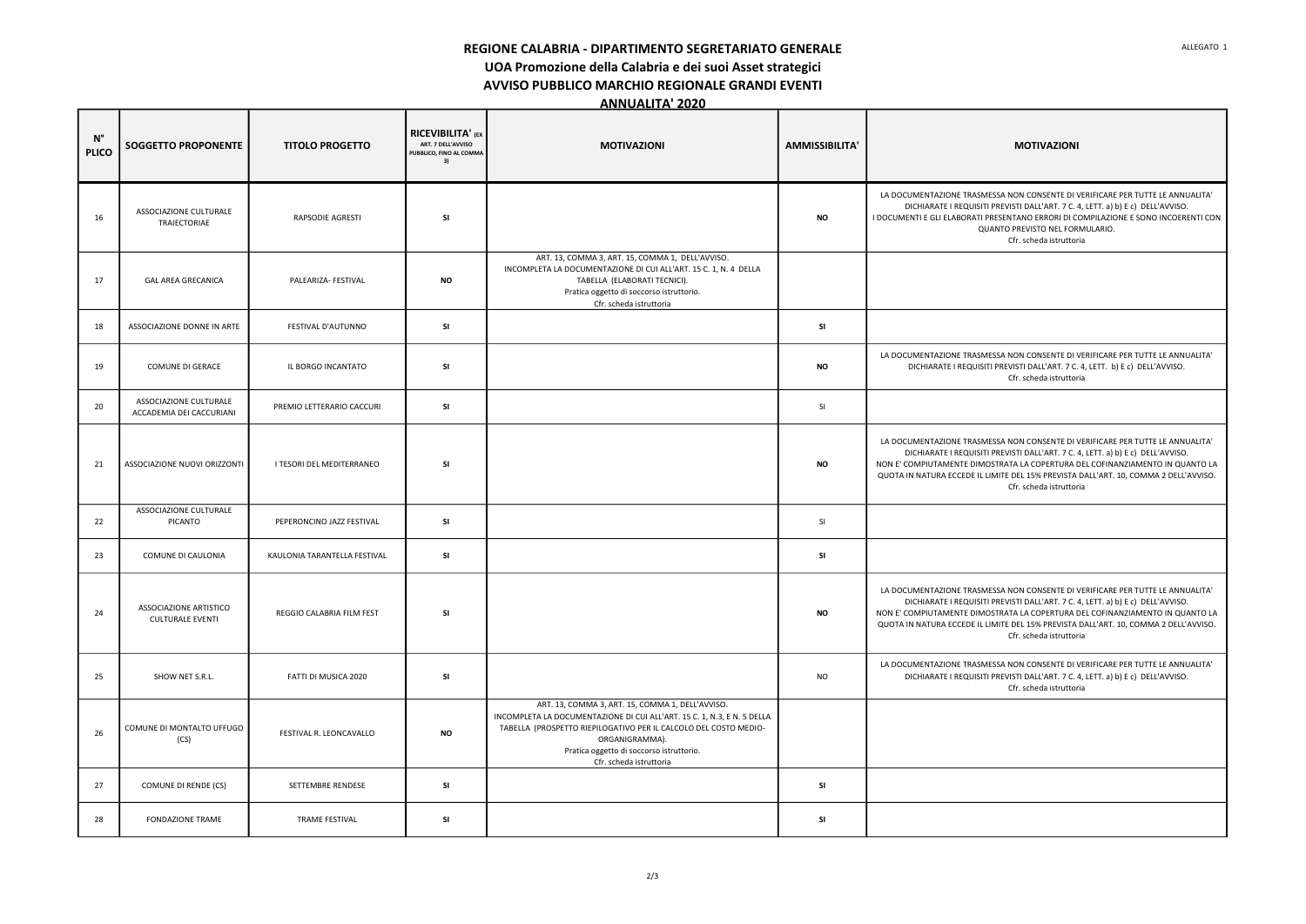REGIONE CALABRIA - DIPARTIMENTO SEGRETARIATO GENERALE

UOA Promozione della Calabria e dei suoi Asset strategici

AVVISO PUBBLICO MARCHIO REGIONALE GRANDI EVENTI

ANNUALITA' 2020

| <b>MOTIVAZIONI</b>                                                                                                                                                                                                                                                                                                                                                    |
|-----------------------------------------------------------------------------------------------------------------------------------------------------------------------------------------------------------------------------------------------------------------------------------------------------------------------------------------------------------------------|
| LA DOCUMENTAZIONE TRASMESSA NON CONSENTE DI VERIFICARE PER TUTTE LE ANNUALITA'<br>DICHIARATE I REQUISITI PREVISTI DALL'ART. 7 C. 4, LETT. a) b) E c) DELL'AVVISO.<br>I DOCUMENTI E GLI ELABORATI PRESENTANO ERRORI DI COMPILAZIONE E SONO INCOERENTI CON<br>QUANTO PREVISTO NEL FORMULARIO.<br>Cfr. scheda istruttoria                                                |
|                                                                                                                                                                                                                                                                                                                                                                       |
|                                                                                                                                                                                                                                                                                                                                                                       |
| LA DOCUMENTAZIONE TRASMESSA NON CONSENTE DI VERIFICARE PER TUTTE LE ANNUALITA'<br>DICHIARATE I REQUISITI PREVISTI DALL'ART. 7 C. 4, LETT. b) E c) DELL'AVVISO.<br>Cfr. scheda istruttoria                                                                                                                                                                             |
|                                                                                                                                                                                                                                                                                                                                                                       |
| LA DOCUMENTAZIONE TRASMESSA NON CONSENTE DI VERIFICARE PER TUTTE LE ANNUALITA'<br>DICHIARATE I REQUISITI PREVISTI DALL'ART. 7 C. 4, LETT. a) b) E c) DELL'AVVISO.<br>NON E' COMPIUTAMENTE DIMOSTRATA LA COPERTURA DEL COFINANZIAMENTO IN QUANTO LA<br>QUOTA IN NATURA ECCEDE IL LIMITE DEL 15% PREVISTA DALL'ART. 10, COMMA 2 DELL'AVVISO.<br>Cfr. scheda istruttoria |
|                                                                                                                                                                                                                                                                                                                                                                       |
|                                                                                                                                                                                                                                                                                                                                                                       |
| LA DOCUMENTAZIONE TRASMESSA NON CONSENTE DI VERIFICARE PER TUTTE LE ANNUALITA'<br>DICHIARATE I REQUISITI PREVISTI DALL'ART. 7 C. 4, LETT. a) b) E c) DELL'AVVISO.<br>NON E' COMPIUTAMENTE DIMOSTRATA LA COPERTURA DEL COFINANZIAMENTO IN QUANTO LA<br>QUOTA IN NATURA ECCEDE IL LIMITE DEL 15% PREVISTA DALL'ART. 10, COMMA 2 DELL'AVVISO.<br>Cfr. scheda istruttoria |
| LA DOCUMENTAZIONE TRASMESSA NON CONSENTE DI VERIFICARE PER TUTTE LE ANNUALITA'<br>DICHIARATE I REQUISITI PREVISTI DALL'ART. 7 C. 4, LETT. a) b) E c) DELL'AVVISO.<br>Cfr. scheda istruttoria                                                                                                                                                                          |
|                                                                                                                                                                                                                                                                                                                                                                       |
|                                                                                                                                                                                                                                                                                                                                                                       |
|                                                                                                                                                                                                                                                                                                                                                                       |

| $N^{\circ}$<br><b>PLICO</b> | <b>SOGGETTO PROPONENTE</b>                         | <b>TITOLO PROGETTO</b>       | <b>RICEVIBILITA' (EX</b><br>ART. 7 DELL'AVVISO<br>PUBBLICO, FINO AL COMMA<br>3) | <b>MOTIVAZIONI</b>                                                                                                                                                                                                                                                                       | <b>AMMISSIBILITA'</b> | <b>MOTIVAZIONI</b>                                                                                                                                                                                                              |
|-----------------------------|----------------------------------------------------|------------------------------|---------------------------------------------------------------------------------|------------------------------------------------------------------------------------------------------------------------------------------------------------------------------------------------------------------------------------------------------------------------------------------|-----------------------|---------------------------------------------------------------------------------------------------------------------------------------------------------------------------------------------------------------------------------|
| 16                          | ASSOCIAZIONE CULTURALE<br>TRAIECTORIAE             | RAPSODIE AGRESTI             | <b>SI</b>                                                                       |                                                                                                                                                                                                                                                                                          | <b>NO</b>             | LA DOCUMENTAZIONE TRASMESSA NON CONSENTE DI \<br>DICHIARATE I REQUISITI PREVISTI DALL'ART. 7 C.<br>I DOCUMENTI E GLI ELABORATI PRESENTANO ERRORI DI CI<br><b>QUANTO PREVISTO NEL FOR</b><br>Cfr. scheda istruttor               |
| 17                          | <b>GAL AREA GRECANICA</b>                          | PALEARIZA- FESTIVAL          | <b>NO</b>                                                                       | ART. 13, COMMA 3, ART. 15, COMMA 1, DELL'AVVISO.<br>INCOMPLETA LA DOCUMENTAZIONE DI CUI ALL'ART. 15 C. 1, N. 4 DELLA<br>TABELLA (ELABORATI TECNICI).<br>Pratica oggetto di soccorso istruttorio.<br>Cfr. scheda istruttoria                                                              |                       |                                                                                                                                                                                                                                 |
| 18                          | ASSOCIAZIONE DONNE IN ARTE                         | FESTIVAL D'AUTUNNO           | <b>SI</b>                                                                       |                                                                                                                                                                                                                                                                                          | SI                    |                                                                                                                                                                                                                                 |
| 19                          | COMUNE DI GERACE                                   | IL BORGO INCANTATO           | <b>SI</b>                                                                       |                                                                                                                                                                                                                                                                                          | <b>NO</b>             | LA DOCUMENTAZIONE TRASMESSA NON CONSENTE DI \<br>DICHIARATE I REQUISITI PREVISTI DALL'ART. 7 C.<br>Cfr. scheda istruttor                                                                                                        |
| 20                          | ASSOCIAZIONE CULTURALE<br>ACCADEMIA DEI CACCURIANI | PREMIO LETTERARIO CACCURI    | <b>SI</b>                                                                       |                                                                                                                                                                                                                                                                                          | SI                    |                                                                                                                                                                                                                                 |
| 21                          | ASSOCIAZIONE NUOVI ORIZZONTI                       | I TESORI DEL MEDITERRANEO    | SI                                                                              |                                                                                                                                                                                                                                                                                          | <b>NO</b>             | LA DOCUMENTAZIONE TRASMESSA NON CONSENTE DI V<br>DICHIARATE I REQUISITI PREVISTI DALL'ART. 7 C.<br>NON E' COMPIUTAMENTE DIMOSTRATA LA COPERTURA I<br>QUOTA IN NATURA ECCEDE IL LIMITE DEL 15% PREVISTA<br>Cfr. scheda istruttor |
| 22                          | ASSOCIAZIONE CULTURALE<br>PICANTO                  | PEPERONCINO JAZZ FESTIVAL    | <b>SI</b>                                                                       |                                                                                                                                                                                                                                                                                          | SI                    |                                                                                                                                                                                                                                 |
| 23                          | COMUNE DI CAULONIA                                 | KAULONIA TARANTELLA FESTIVAL | <b>SI</b>                                                                       |                                                                                                                                                                                                                                                                                          | SI                    |                                                                                                                                                                                                                                 |
| 24                          | ASSOCIAZIONE ARTISTICO<br><b>CULTURALE EVENTI</b>  | REGGIO CALABRIA FILM FEST    | <b>SI</b>                                                                       |                                                                                                                                                                                                                                                                                          | <b>NO</b>             | LA DOCUMENTAZIONE TRASMESSA NON CONSENTE DI V<br>DICHIARATE I REQUISITI PREVISTI DALL'ART. 7 C.<br>NON E' COMPIUTAMENTE DIMOSTRATA LA COPERTURA I<br>QUOTA IN NATURA ECCEDE IL LIMITE DEL 15% PREVISTA<br>Cfr. scheda istruttor |
| 25                          | SHOW NET S.R.L.                                    | FATTI DI MUSICA 2020         | <b>SI</b>                                                                       |                                                                                                                                                                                                                                                                                          | <b>NO</b>             | LA DOCUMENTAZIONE TRASMESSA NON CONSENTE DI \<br>DICHIARATE I REQUISITI PREVISTI DALL'ART. 7 C. 4<br>Cfr. scheda istruttor                                                                                                      |
| 26                          | COMUNE DI MONTALTO UFFUGO<br>(CS)                  | FESTIVAL R. LEONCAVALLO      | $\mathsf{NO}$                                                                   | ART. 13, COMMA 3, ART. 15, COMMA 1, DELL'AVVISO.<br>INCOMPLETA LA DOCUMENTAZIONE DI CUI ALL'ART. 15 C. 1, N.3, E N. 5 DELLA<br>TABELLA (PROSPETTO RIEPILOGATIVO PER IL CALCOLO DEL COSTO MEDIO-<br>ORGANIGRAMMA).<br>Pratica oggetto di soccorso istruttorio.<br>Cfr. scheda istruttoria |                       |                                                                                                                                                                                                                                 |
| 27                          | COMUNE DI RENDE (CS)                               | SETTEMBRE RENDESE            | <b>SI</b>                                                                       |                                                                                                                                                                                                                                                                                          | SI                    |                                                                                                                                                                                                                                 |
| 28                          | FONDAZIONE TRAME                                   | TRAME FESTIVAL               | <b>SI</b>                                                                       |                                                                                                                                                                                                                                                                                          | SI                    |                                                                                                                                                                                                                                 |